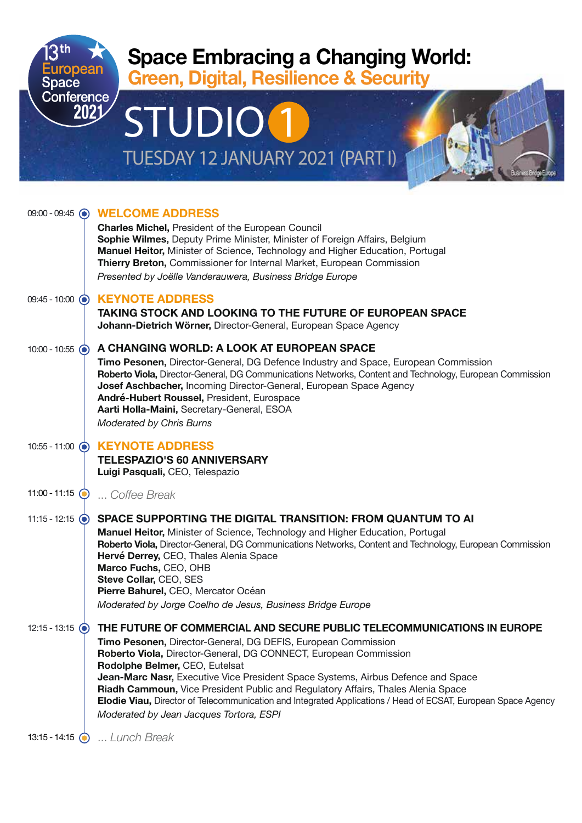

|                         | 09:00 - 09:45 ( WELCOME ADDRESS<br><b>Charles Michel, President of the European Council</b><br>Sophie Wilmes, Deputy Prime Minister, Minister of Foreign Affairs, Belgium                                                                                                                                                                                                                                                                                                                                                                                                          |
|-------------------------|------------------------------------------------------------------------------------------------------------------------------------------------------------------------------------------------------------------------------------------------------------------------------------------------------------------------------------------------------------------------------------------------------------------------------------------------------------------------------------------------------------------------------------------------------------------------------------|
|                         | Manuel Heitor, Minister of Science, Technology and Higher Education, Portugal<br>Thierry Breton, Commissioner for Internal Market, European Commission<br>Presented by Joëlle Vanderauwera, Business Bridge Europe                                                                                                                                                                                                                                                                                                                                                                 |
| $09:45 - 10:00$ $\odot$ | <b>KEYNOTE ADDRESS</b><br><b>TAKING STOCK AND LOOKING TO THE FUTURE OF EUROPEAN SPACE</b><br>Johann-Dietrich Wörner, Director-General, European Space Agency                                                                                                                                                                                                                                                                                                                                                                                                                       |
| 10:00 - 10:55 $\odot$   | A CHANGING WORLD: A LOOK AT EUROPEAN SPACE<br>Timo Pesonen, Director-General, DG Defence Industry and Space, European Commission<br>Roberto Viola, Director-General, DG Communications Networks, Content and Technology, European Commission<br>Josef Aschbacher, Incoming Director-General, European Space Agency<br>André-Hubert Roussel, President, Eurospace<br>Aarti Holla-Maini, Secretary-General, ESOA<br>Moderated by Chris Burns                                                                                                                                         |
|                         | 10:55 - 11:00 (a) KEYNOTE ADDRESS<br><b>TELESPAZIO'S 60 ANNIVERSARY</b><br>Luigi Pasquali, CEO, Telespazio                                                                                                                                                                                                                                                                                                                                                                                                                                                                         |
| $11:00 - 11:15$         | Coffee Break                                                                                                                                                                                                                                                                                                                                                                                                                                                                                                                                                                       |
| 11:15 - 12:15 $\odot$   | SPACE SUPPORTING THE DIGITAL TRANSITION: FROM QUANTUM TO AI<br>Manuel Heitor, Minister of Science, Technology and Higher Education, Portugal<br>Roberto Viola, Director-General, DG Communications Networks, Content and Technology, European Commission<br>Hervé Derrey, CEO, Thales Alenia Space<br>Marco Fuchs, CEO, OHB<br>Steve Collar, CEO, SES<br>Pierre Bahurel, CEO, Mercator Océan<br>Moderated by Jorge Coelho de Jesus, Business Bridge Europe                                                                                                                         |
| 12:15 - 13:15 $\odot$   | THE FUTURE OF COMMERCIAL AND SECURE PUBLIC TELECOMMUNICATIONS IN EUROPE<br>Timo Pesonen, Director-General, DG DEFIS, European Commission<br>Roberto Viola, Director-General, DG CONNECT, European Commission<br>Rodolphe Belmer, CEO, Eutelsat<br>Jean-Marc Nasr, Executive Vice President Space Systems, Airbus Defence and Space<br>Riadh Cammoun, Vice President Public and Regulatory Affairs, Thales Alenia Space<br>Elodie Viau, Director of Telecommunication and Integrated Applications / Head of ECSAT, European Space Agency<br>Moderated by Jean Jacques Tortora, ESPI |

... *Lunch Break*  13:15 - 14:15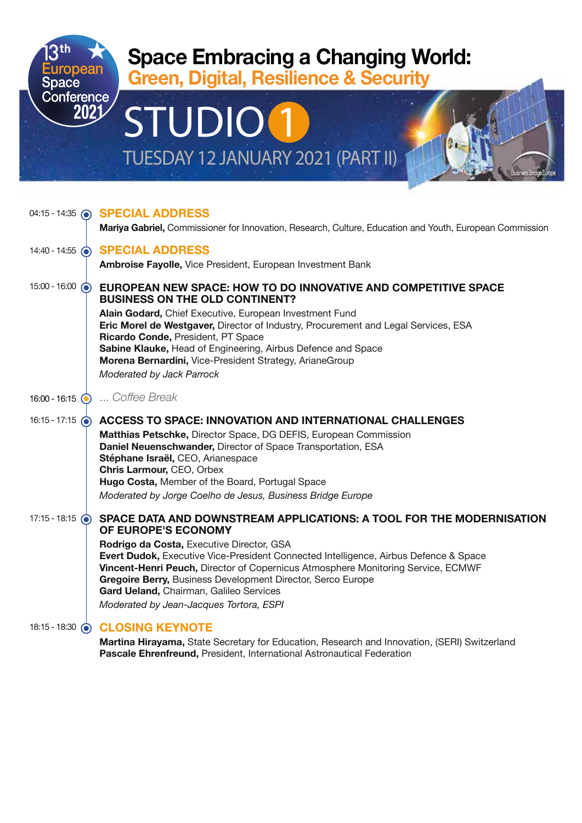

|                          | 04:15 - 14:35 @ SPECIAL ADDRESS                                                                                                                                                                                                                                                                                                                                            |
|--------------------------|----------------------------------------------------------------------------------------------------------------------------------------------------------------------------------------------------------------------------------------------------------------------------------------------------------------------------------------------------------------------------|
|                          | Mariya Gabriel, Commissioner for Innovation, Research, Culture, Education and Youth, European Commission                                                                                                                                                                                                                                                                   |
| 14:40 - 14:55 $\odot$    | <b>SPECIAL ADDRESS</b>                                                                                                                                                                                                                                                                                                                                                     |
|                          | Ambroise Fayolle, Vice President, European Investment Bank                                                                                                                                                                                                                                                                                                                 |
| 15:00 - 16:00 $\odot$    | EUROPEAN NEW SPACE: HOW TO DO INNOVATIVE AND COMPETITIVE SPACE<br><b>BUSINESS ON THE OLD CONTINENT?</b><br>Alain Godard, Chief Executive, European Investment Fund<br>Eric Morel de Westgaver, Director of Industry, Procurement and Legal Services, ESA<br>Ricardo Conde, President, PT Space<br>Sabine Klauke, Head of Engineering, Airbus Defence and Space             |
|                          | Morena Bernardini, Vice-President Strategy, ArianeGroup                                                                                                                                                                                                                                                                                                                    |
|                          | Moderated by Jack Parrock                                                                                                                                                                                                                                                                                                                                                  |
| $16:00 - 16:15$          | Coffee Break                                                                                                                                                                                                                                                                                                                                                               |
| 16:15 - 17:15 $\odot$    | <b>ACCESS TO SPACE: INNOVATION AND INTERNATIONAL CHALLENGES</b>                                                                                                                                                                                                                                                                                                            |
|                          | Matthias Petschke, Director Space, DG DEFIS, European Commission<br>Daniel Neuenschwander, Director of Space Transportation, ESA<br>Stéphane Israël, CEO, Arianespace<br>Chris Larmour, CEO, Orbex<br>Hugo Costa, Member of the Board, Portugal Space<br>Moderated by Jorge Coelho de Jesus, Business Bridge Europe                                                        |
| 17:15 - 18:15 $\odot$    | SPACE DATA AND DOWNSTREAM APPLICATIONS: A TOOL FOR THE MODERNISATION<br>OF EUROPE'S ECONOMY                                                                                                                                                                                                                                                                                |
|                          | Rodrigo da Costa, Executive Director, GSA<br>Evert Dudok, Executive Vice-President Connected Intelligence, Airbus Defence & Space<br>Vincent-Henri Peuch, Director of Copernicus Atmosphere Monitoring Service, ECMWF<br>Gregoire Berry, Business Development Director, Serco Europe<br>Gard Ueland, Chairman, Galileo Services<br>Moderated by Jean-Jacques Tortora, ESPI |
| 18:15 - 18:30<br>$\odot$ | <b>CLOSING KEYNOTE</b>                                                                                                                                                                                                                                                                                                                                                     |

**Martina Hirayama,** State Secretary for Education, Research and Innovation, (SERI) Switzerland **Pascale Ehrenfreund,** President, International Astronautical Federation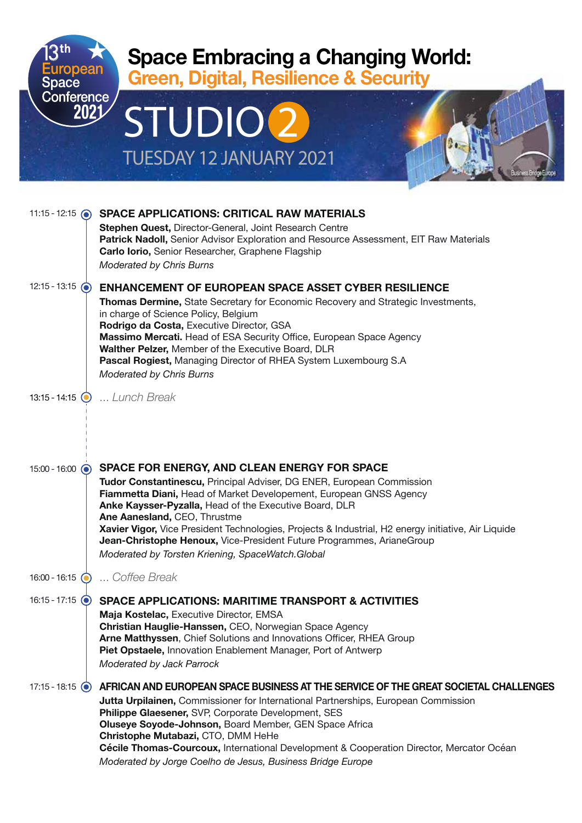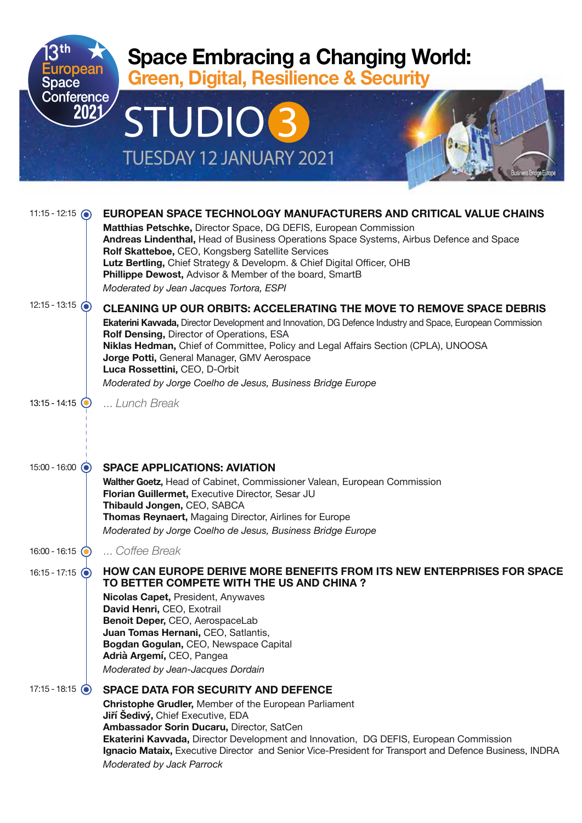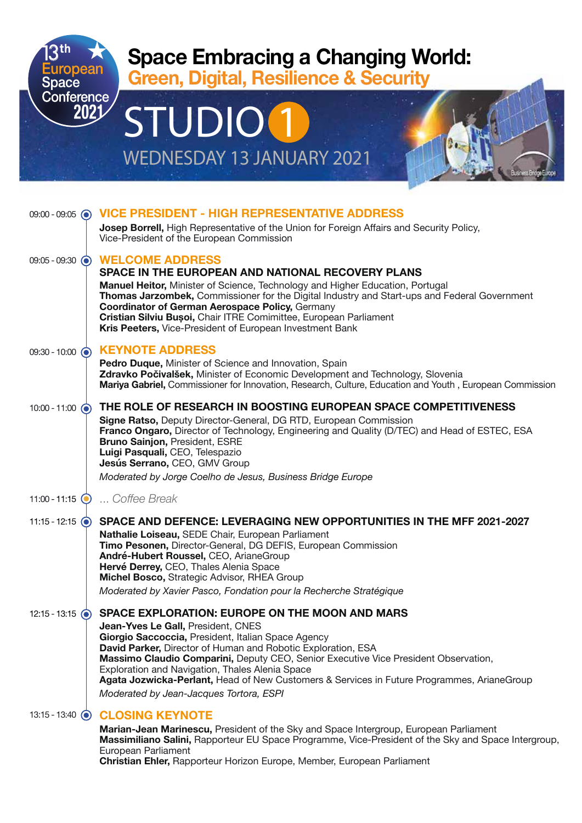